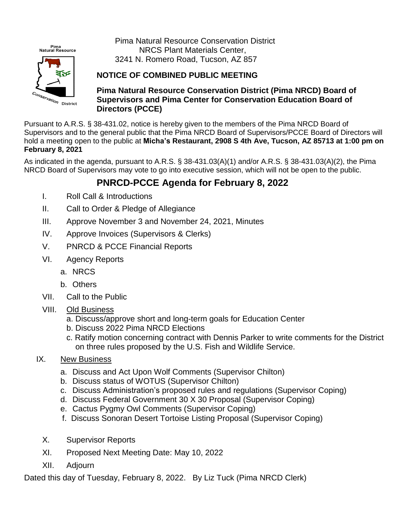

Pima Natural Resource Conservation District NRCS Plant Materials Center, 3241 N. Romero Road, Tucson, AZ 857

## **NOTICE OF COMBINED PUBLIC MEETING**

**Pima Natural Resource Conservation District (Pima NRCD) Board of Supervisors and Pima Center for Conservation Education Board of Directors (PCCE)**

Pursuant to A.R.S. § 38-431.02, notice is hereby given to the members of the Pima NRCD Board of Supervisors and to the general public that the Pima NRCD Board of Supervisors/PCCE Board of Directors will hold a meeting open to the public at **Micha's Restaurant, 2908 S 4th Ave, Tucson, AZ 85713 at 1:00 pm on February 8, 2021**

As indicated in the agenda, pursuant to A.R.S. § 38-431.03(A)(1) and/or A.R.S. § 38-431.03(A)(2), the Pima NRCD Board of Supervisors may vote to go into executive session, which will not be open to the public.

## **PNRCD-PCCE Agenda for February 8, 2022**

- I. Roll Call & Introductions
- II. Call to Order & Pledge of Allegiance
- III. Approve November 3 and November 24, 2021, Minutes
- IV. Approve Invoices (Supervisors & Clerks)
- V. PNRCD & PCCE Financial Reports
- VI. Agency Reports
	- a. NRCS
	- b. Others
- VII. Call to the Public
- VIII. Old Business
	- a. Discuss/approve short and long-term goals for Education Center
	- b. Discuss 2022 Pima NRCD Elections
	- c. Ratify motion concerning contract with Dennis Parker to write comments for the District on three rules proposed by the U.S. Fish and Wildlife Service.
- IX. New Business
	- a. Discuss and Act Upon Wolf Comments (Supervisor Chilton)
	- b. Discuss status of WOTUS (Supervisor Chilton)
	- c. Discuss Administration's proposed rules and regulations (Supervisor Coping)
	- d. Discuss Federal Government 30 X 30 Proposal (Supervisor Coping)
	- e. Cactus Pygmy Owl Comments (Supervisor Coping)
	- f. Discuss Sonoran Desert Tortoise Listing Proposal (Supervisor Coping)
	- X. Supervisor Reports
	- XI. Proposed Next Meeting Date: May 10, 2022
	- XII. Adjourn

Dated this day of Tuesday, February 8, 2022. By Liz Tuck (Pima NRCD Clerk)